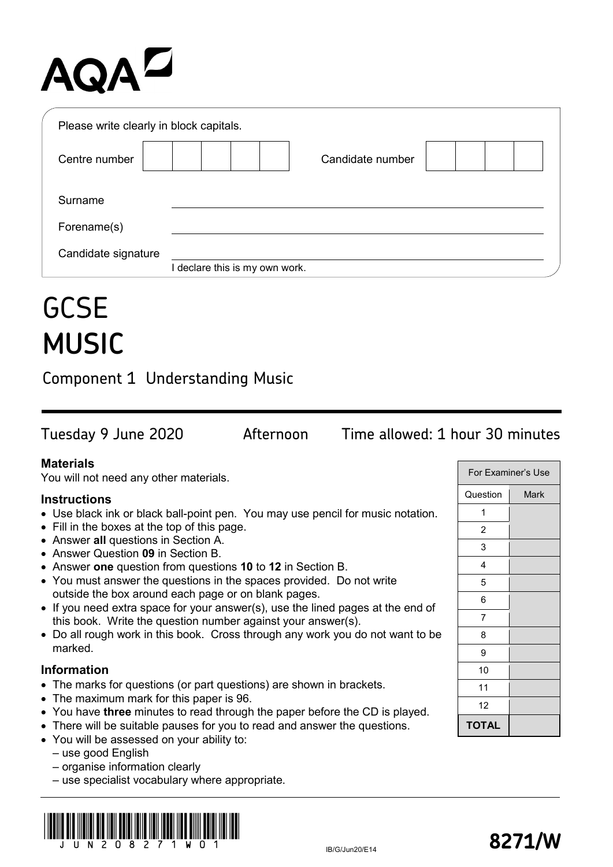# **AQAL**

| Please write clearly in block capitals. |                              |
|-----------------------------------------|------------------------------|
| Centre number                           | Candidate number             |
| Surname                                 |                              |
| Forename(s)                             |                              |
| Candidate signature                     |                              |
|                                         | declare this is my own work. |

# **GCSE MUSIC**

Component 1 Understanding Music

Tuesday 9 June 2020 Afternoon Time allowed: 1 hour 30 minutes

## **Materials**

You will not need any other materials.

## **Instructions**

- Use black ink or black ball-point pen. You may use pencil for music notation.
- Fill in the boxes at the top of this page.
- Answer **all** questions in Section A.
- Answer Question **09** in Section B.
- Answer **one** question from questions **10** to **12** in Section B.
- You must answer the questions in the spaces provided. Do not write outside the box around each page or on blank pages.
- If you need extra space for your answer(s), use the lined pages at the end of this book. Write the question number against your answer(s).
- Do all rough work in this book. Cross through any work you do not want to be marked.

#### **Information**

- The marks for questions (or part questions) are shown in brackets.
- The maximum mark for this paper is 96.
- You have **three** minutes to read through the paper before the CD is played.
- There will be suitable pauses for you to read and answer the questions.
- You will be assessed on your ability to:

– use good English

- organise information clearly
- use specialist vocabulary where appropriate.



| For Examiner's Use |             |  |
|--------------------|-------------|--|
| Question           | <b>Mark</b> |  |
| 1                  |             |  |
| 2                  |             |  |
| 3                  |             |  |
| 4                  |             |  |
| 5                  |             |  |
| 6                  |             |  |
| 7                  |             |  |
| 8                  |             |  |
| 9                  |             |  |
| 10                 |             |  |
| 11                 |             |  |
| 12                 |             |  |
| <b>TOTAL</b>       |             |  |

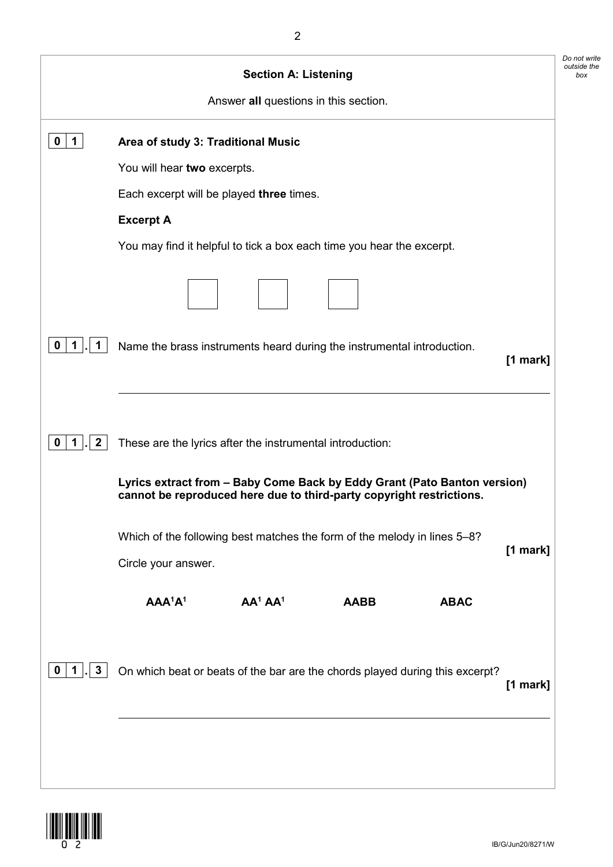| You may find it helpful to tick a box each time you hear the excerpt.                                                                            |            |
|--------------------------------------------------------------------------------------------------------------------------------------------------|------------|
|                                                                                                                                                  |            |
|                                                                                                                                                  |            |
|                                                                                                                                                  |            |
|                                                                                                                                                  |            |
|                                                                                                                                                  |            |
|                                                                                                                                                  |            |
|                                                                                                                                                  |            |
| Name the brass instruments heard during the instrumental introduction.<br>$[1$ mark]                                                             |            |
|                                                                                                                                                  |            |
|                                                                                                                                                  |            |
| Lyrics extract from - Baby Come Back by Eddy Grant (Pato Banton version)<br>cannot be reproduced here due to third-party copyright restrictions. |            |
| Which of the following best matches the form of the melody in lines 5-8?<br>$[1$ mark]                                                           |            |
| <b>ABAC</b>                                                                                                                                      |            |
| On which beat or beats of the bar are the chords played during this excerpt?                                                                     |            |
|                                                                                                                                                  | $[1$ mark] |

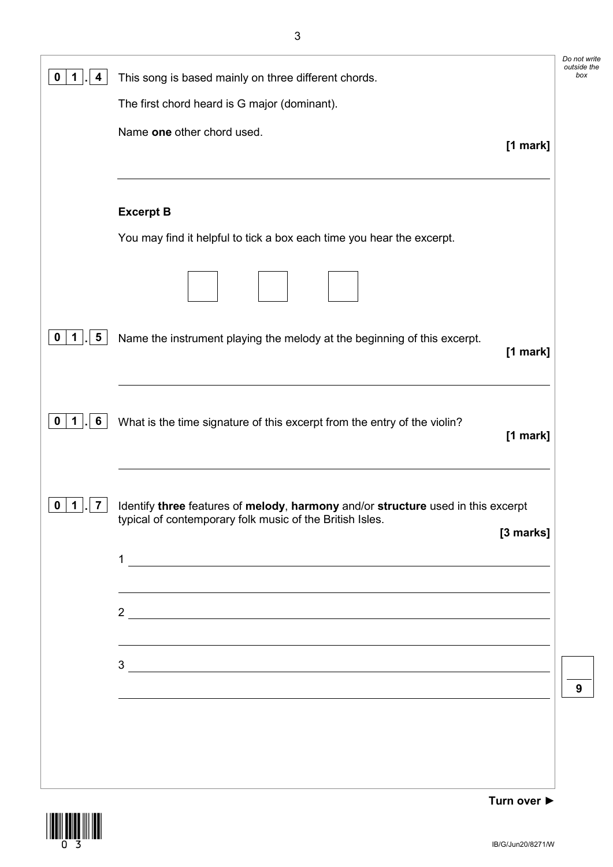| 4<br>1                                 | This song is based mainly on three different chords.                                                                                                      | Do not write<br>outside the<br>box |
|----------------------------------------|-----------------------------------------------------------------------------------------------------------------------------------------------------------|------------------------------------|
|                                        | The first chord heard is G major (dominant).                                                                                                              |                                    |
|                                        | Name one other chord used.<br>[1 mark]                                                                                                                    |                                    |
|                                        | <b>Excerpt B</b><br>You may find it helpful to tick a box each time you hear the excerpt.                                                                 |                                    |
|                                        |                                                                                                                                                           |                                    |
| $\overline{\mathbf{5}}$<br>$1$  .<br>0 | Name the instrument playing the melody at the beginning of this excerpt.<br>[1 mark]                                                                      |                                    |
| 6<br>1                                 | What is the time signature of this excerpt from the entry of the violin?<br>$[1$ mark]                                                                    |                                    |
| 7<br>U                                 | Identify three features of melody, harmony and/or structure used in this excerpt<br>typical of contemporary folk music of the British Isles.<br>[3 marks] |                                    |
|                                        |                                                                                                                                                           |                                    |
|                                        | $\frac{2}{\sqrt{2}}$<br><u> 1989 - Johann Stoff, amerikansk politiker (d. 1989)</u>                                                                       |                                    |
|                                        | $3$ $\overline{\phantom{a}}$                                                                                                                              | 9                                  |
|                                        | ,我们也不会有什么。""我们的人,我们也不会有什么?""我们的人,我们也不会有什么?""我们的人,我们也不会有什么?""我们的人,我们也不会有什么?""我们的人                                                                          |                                    |
|                                        |                                                                                                                                                           |                                    |

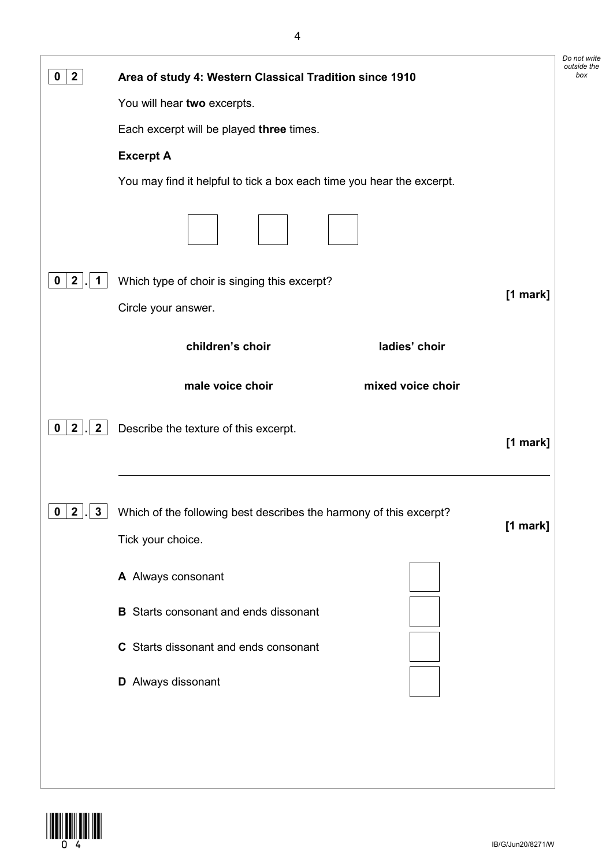| $\mathbf{2}$<br>0                          | Area of study 4: Western Classical Tradition since 1910                                             | Do not write<br>outside the<br>box |
|--------------------------------------------|-----------------------------------------------------------------------------------------------------|------------------------------------|
|                                            | You will hear two excerpts.                                                                         |                                    |
|                                            | Each excerpt will be played three times.                                                            |                                    |
|                                            | <b>Excerpt A</b>                                                                                    |                                    |
|                                            | You may find it helpful to tick a box each time you hear the excerpt.                               |                                    |
|                                            |                                                                                                     |                                    |
| $\mathbf{2}$<br>1<br>0                     | Which type of choir is singing this excerpt?                                                        |                                    |
|                                            | [1 mark]<br>Circle your answer.                                                                     |                                    |
|                                            | children's choir<br>ladies' choir                                                                   |                                    |
|                                            | male voice choir<br>mixed voice choir                                                               |                                    |
| $2 \mid$<br>$\overline{2}$<br>$\mathbf{0}$ | Describe the texture of this excerpt.<br>[1 mark]                                                   |                                    |
| $0 \mid 2$<br>$\mathbf{3}$                 | Which of the following best describes the harmony of this excerpt?<br>[1 mark]<br>Tick your choice. |                                    |
|                                            | A Always consonant                                                                                  |                                    |
|                                            | <b>B</b> Starts consonant and ends dissonant                                                        |                                    |
|                                            | C Starts dissonant and ends consonant                                                               |                                    |
|                                            | D Always dissonant                                                                                  |                                    |
|                                            |                                                                                                     |                                    |
|                                            |                                                                                                     |                                    |
|                                            |                                                                                                     |                                    |

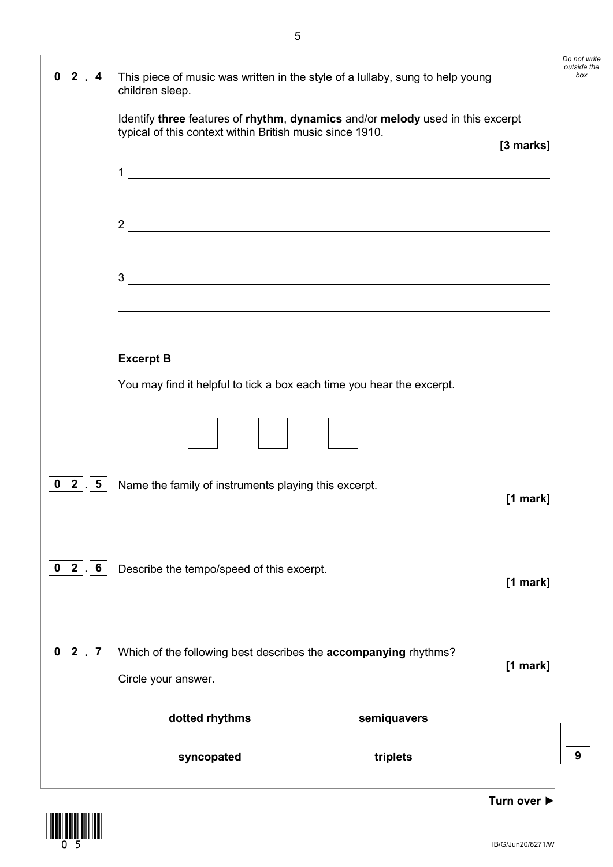| $\mathbf{2}$<br>0<br>4                 | This piece of music was written in the style of a lullaby, sung to help young<br>children sleep.                                                                                                    |            | Do not write<br>outside the<br>box |
|----------------------------------------|-----------------------------------------------------------------------------------------------------------------------------------------------------------------------------------------------------|------------|------------------------------------|
|                                        | Identify three features of rhythm, dynamics and/or melody used in this excerpt<br>typical of this context within British music since 1910.                                                          | [3 marks]  |                                    |
|                                        | $\mathbf 1$<br><u> 1989 - Johann Barn, mars and de Brasilian (b. 1989)</u><br><u> 1989 - Johann Stoff, deutscher Stoffen und der Stoffen und der Stoffen und der Stoffen und der Stoffen und de</u> |            |                                    |
|                                        | $\frac{2}{\sqrt{2}}$                                                                                                                                                                                |            |                                    |
|                                        | ,我们也不会有一个人的人,我们也不会有一个人的人,我们也不会有一个人的人。""我们,我们也不会有一个人的人,我们也不会有一个人的人。""我们,我们也不会有一个人<br>3<br><u> 1980 - Johann Barbara, martxa amerikan bashkar (</u>                                                   |            |                                    |
|                                        |                                                                                                                                                                                                     |            |                                    |
|                                        | <b>Excerpt B</b><br>You may find it helpful to tick a box each time you hear the excerpt.                                                                                                           |            |                                    |
|                                        |                                                                                                                                                                                                     |            |                                    |
| $\overline{2}$<br>$5\overline{)}$<br>0 | Name the family of instruments playing this excerpt.                                                                                                                                                | $[1$ mark] |                                    |
| $0$   2   .<br>$6\overline{6}$         | Describe the tempo/speed of this excerpt.                                                                                                                                                           | [1 mark]   |                                    |
| $\mathbf{2}$<br>7<br>U                 | Which of the following best describes the <b>accompanying</b> rhythms?<br>Circle your answer.                                                                                                       | [1 mark]   |                                    |
|                                        | dotted rhythms<br>semiquavers                                                                                                                                                                       |            |                                    |
|                                        | syncopated<br>triplets                                                                                                                                                                              |            | 9                                  |

 $\begin{array}{c} \begin{array}{c} \begin{array}{c} \text{||} \\ \text{||} \end{array} \\ \text{||} \end{array} \\ \begin{array}{c} \begin{array}{c} \text{||} \\ \text{||} \end{array} \\ \text{||} \end{array} \end{array}$ 

**Turn over ►**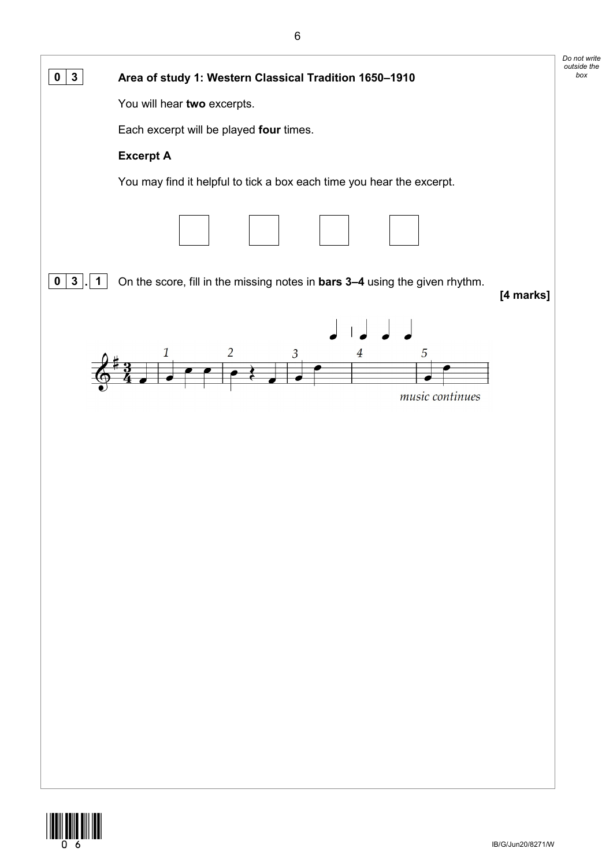

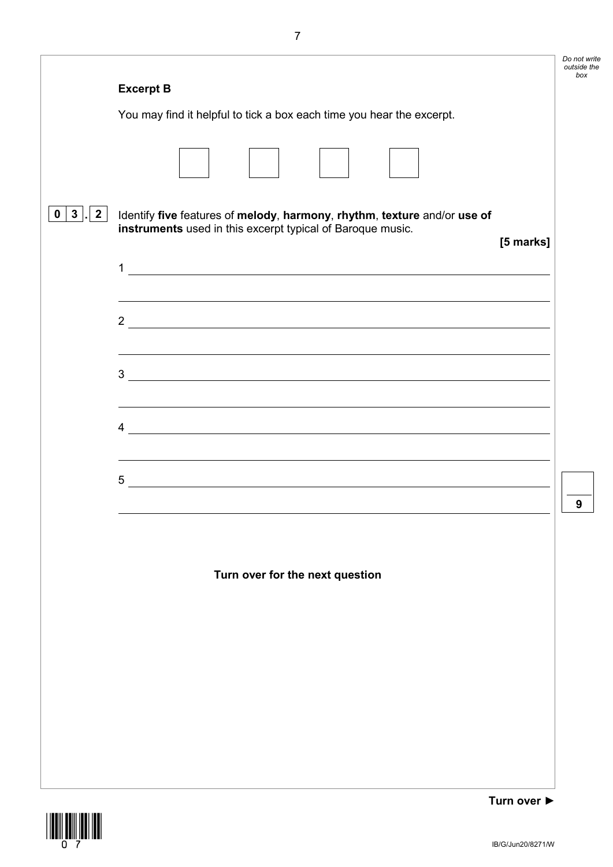|                                   |                                                                                                                                                                                                                                                                                                                                                                                      | Do not write<br>outside the<br>box |
|-----------------------------------|--------------------------------------------------------------------------------------------------------------------------------------------------------------------------------------------------------------------------------------------------------------------------------------------------------------------------------------------------------------------------------------|------------------------------------|
|                                   | <b>Excerpt B</b>                                                                                                                                                                                                                                                                                                                                                                     |                                    |
|                                   | You may find it helpful to tick a box each time you hear the excerpt.                                                                                                                                                                                                                                                                                                                |                                    |
|                                   |                                                                                                                                                                                                                                                                                                                                                                                      |                                    |
| $\mathbf{3}$<br>$\mathbf{2}$<br>0 | Identify five features of melody, harmony, rhythm, texture and/or use of<br>instruments used in this excerpt typical of Baroque music.<br>[5 marks]                                                                                                                                                                                                                                  |                                    |
|                                   | $\mathbf{1}$                                                                                                                                                                                                                                                                                                                                                                         |                                    |
|                                   | $\frac{2}{\sqrt{2}}$                                                                                                                                                                                                                                                                                                                                                                 |                                    |
|                                   |                                                                                                                                                                                                                                                                                                                                                                                      |                                    |
|                                   | $\overline{4}$ $\overline{2}$ $\overline{4}$ $\overline{2}$ $\overline{4}$ $\overline{2}$ $\overline{4}$ $\overline{2}$ $\overline{2}$ $\overline{2}$ $\overline{2}$ $\overline{2}$ $\overline{2}$ $\overline{2}$ $\overline{2}$ $\overline{2}$ $\overline{2}$ $\overline{2}$ $\overline{2}$ $\overline{2}$ $\overline{2}$ $\overline{2}$ $\overline{2}$ $\overline{2}$ $\overline{$ |                                    |
|                                   | $5$ $\overline{\phantom{a}}$                                                                                                                                                                                                                                                                                                                                                         |                                    |
|                                   |                                                                                                                                                                                                                                                                                                                                                                                      | 9                                  |

#### **Turn over for the next question**



**Turn over ►**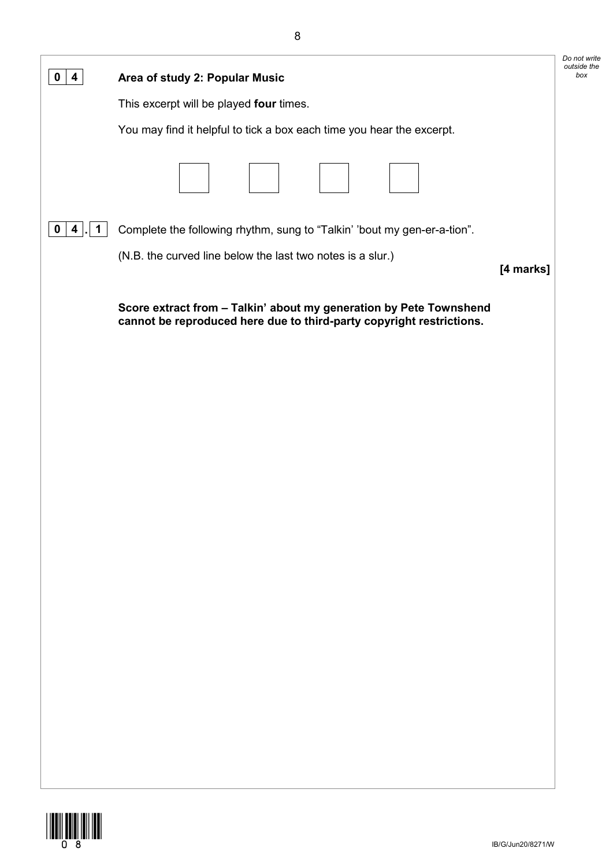| 0<br>4                             | Area of study 2: Popular Music                                                                                                             | Do not write<br>outside the<br>box |
|------------------------------------|--------------------------------------------------------------------------------------------------------------------------------------------|------------------------------------|
|                                    | This excerpt will be played four times.                                                                                                    |                                    |
|                                    | You may find it helpful to tick a box each time you hear the excerpt.                                                                      |                                    |
|                                    |                                                                                                                                            |                                    |
| $\overline{1}$<br>$\mathbf 0$<br>4 | Complete the following rhythm, sung to "Talkin' 'bout my gen-er-a-tion".                                                                   |                                    |
|                                    | (N.B. the curved line below the last two notes is a slur.)<br>[4 marks]                                                                    |                                    |
|                                    | Score extract from - Talkin' about my generation by Pete Townshend<br>cannot be reproduced here due to third-party copyright restrictions. |                                    |
|                                    |                                                                                                                                            |                                    |
|                                    |                                                                                                                                            |                                    |
|                                    |                                                                                                                                            |                                    |
|                                    |                                                                                                                                            |                                    |
|                                    |                                                                                                                                            |                                    |
|                                    |                                                                                                                                            |                                    |
|                                    |                                                                                                                                            |                                    |
|                                    |                                                                                                                                            |                                    |
|                                    |                                                                                                                                            |                                    |
|                                    |                                                                                                                                            |                                    |
|                                    |                                                                                                                                            |                                    |
|                                    |                                                                                                                                            |                                    |
|                                    |                                                                                                                                            |                                    |
|                                    |                                                                                                                                            |                                    |
|                                    |                                                                                                                                            |                                    |

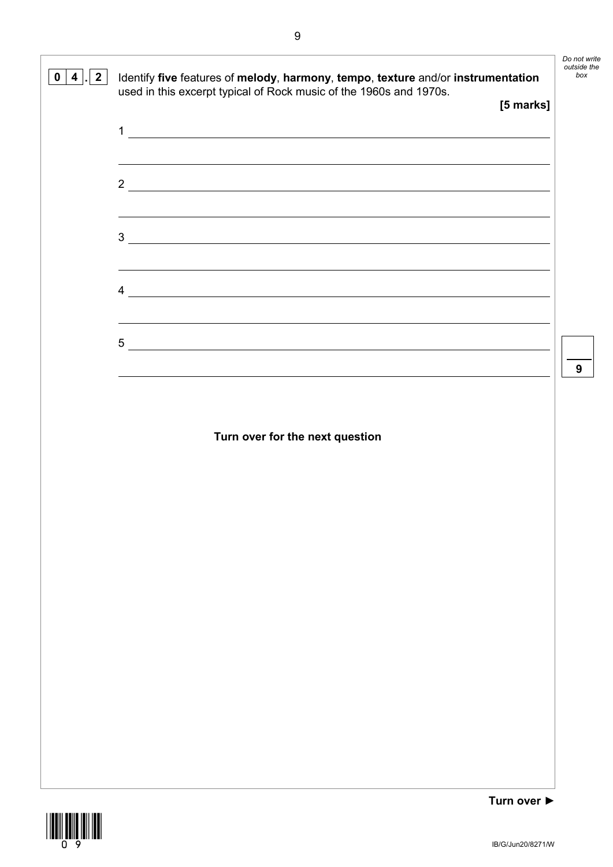

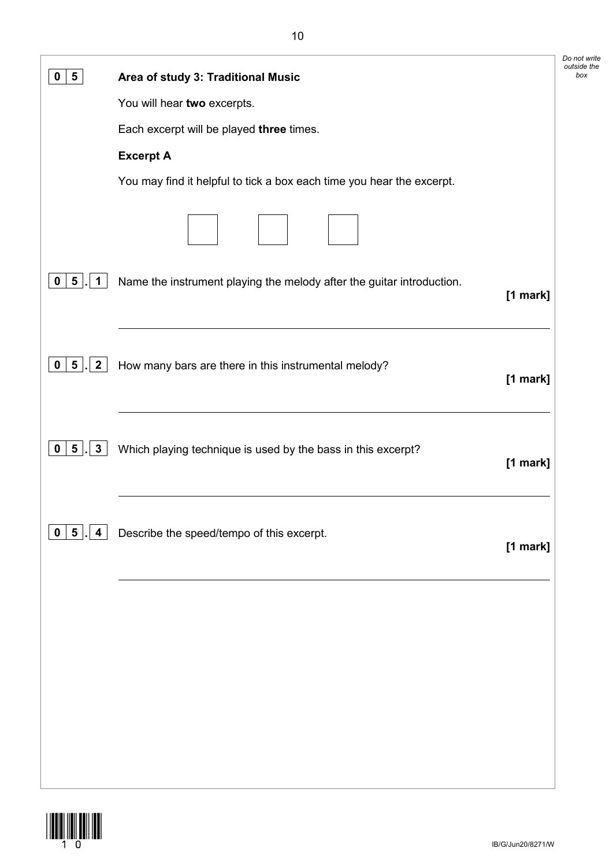| $5\phantom{.0}$<br>0                            |                                                                                   | Do not write<br>outside the<br>box |
|-------------------------------------------------|-----------------------------------------------------------------------------------|------------------------------------|
|                                                 | Area of study 3: Traditional Music                                                |                                    |
|                                                 | You will hear two excerpts.                                                       |                                    |
|                                                 | Each excerpt will be played three times.                                          |                                    |
|                                                 | <b>Excerpt A</b>                                                                  |                                    |
|                                                 | You may find it helpful to tick a box each time you hear the excerpt.             |                                    |
|                                                 |                                                                                   |                                    |
| $5\phantom{.0}$<br>$\mathbf 0$<br>1             | Name the instrument playing the melody after the guitar introduction.<br>[1 mark] |                                    |
| 5 <sub>1</sub><br>$\overline{2}$<br>$\mathbf 0$ | How many bars are there in this instrumental melody?<br>[1 mark]                  |                                    |
| 3<br>$5$ .<br>$\mathbf{0}$                      | Which playing technique is used by the bass in this excerpt?<br>[1 mark]          |                                    |
| $\overline{\mathbf{5}}$<br>$\mathbf 0$<br>4     | Describe the speed/tempo of this excerpt.<br>[1 mark]                             |                                    |
|                                                 |                                                                                   |                                    |
|                                                 |                                                                                   |                                    |
|                                                 |                                                                                   |                                    |

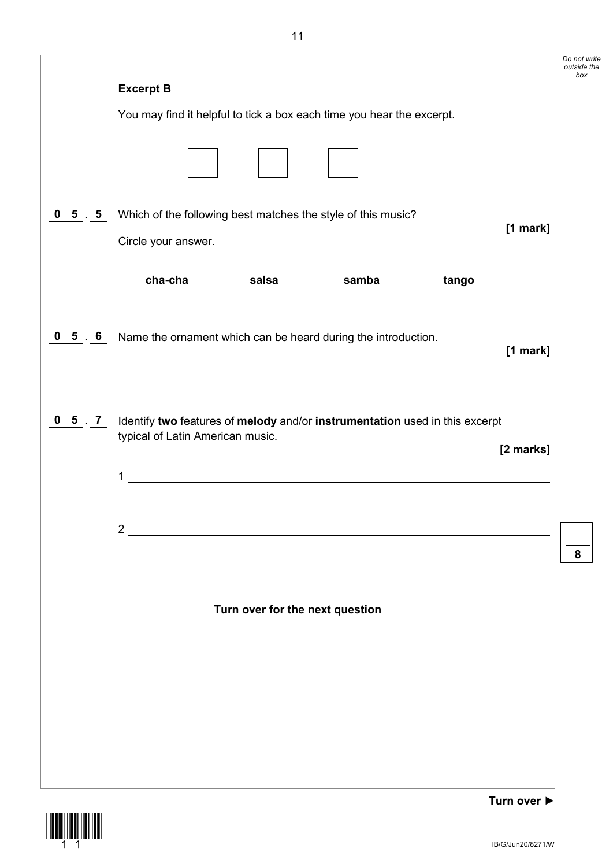|                                        |                                                                                                                                      | Do not write<br>outside the<br>box |
|----------------------------------------|--------------------------------------------------------------------------------------------------------------------------------------|------------------------------------|
|                                        | <b>Excerpt B</b>                                                                                                                     |                                    |
|                                        | You may find it helpful to tick a box each time you hear the excerpt.                                                                |                                    |
|                                        |                                                                                                                                      |                                    |
| 5 <sub>5</sub><br>$5\phantom{.0}$<br>0 | Which of the following best matches the style of this music?<br>[1 mark]<br>Circle your answer.                                      |                                    |
|                                        | cha-cha<br>salsa<br>samba<br>tango                                                                                                   |                                    |
| 5 <br>$6\phantom{1}$<br>0              | Name the ornament which can be heard during the introduction.<br>[1 mark]                                                            |                                    |
| $5\phantom{.0}$<br>0<br>7              | Identify two features of melody and/or instrumentation used in this excerpt<br>typical of Latin American music.<br>[2 marks]<br>1    |                                    |
|                                        | $2^{\circ}$<br><u> 1980 - Jan Samuel Barbara, margaret e</u> n 1980 eta 1980 eta 1980 eta 1980 eta 1980 eta 1980 eta 1980 eta 1980 e | 8                                  |
|                                        | Turn over for the next question                                                                                                      |                                    |
|                                        |                                                                                                                                      |                                    |
|                                        |                                                                                                                                      |                                    |
|                                        |                                                                                                                                      |                                    |

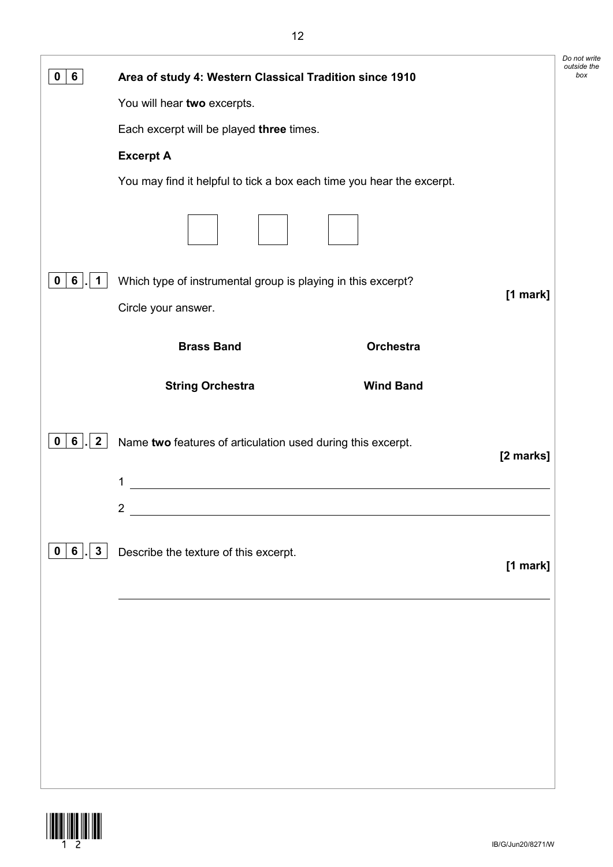| 6<br>0                  | Area of study 4: Western Classical Tradition since 1910                  | Do not write<br>outside the<br>box |
|-------------------------|--------------------------------------------------------------------------|------------------------------------|
|                         | You will hear two excerpts.                                              |                                    |
|                         | Each excerpt will be played three times.                                 |                                    |
|                         | <b>Excerpt A</b>                                                         |                                    |
|                         | You may find it helpful to tick a box each time you hear the excerpt.    |                                    |
|                         |                                                                          |                                    |
| 6<br>1<br>0             | Which type of instrumental group is playing in this excerpt?             |                                    |
|                         | [1 mark]<br>Circle your answer.                                          |                                    |
|                         | <b>Brass Band</b><br>Orchestra                                           |                                    |
|                         | <b>Wind Band</b><br><b>String Orchestra</b>                              |                                    |
| $\mathbf{2}$<br>6<br>0  | Name two features of articulation used during this excerpt.<br>[2 marks] |                                    |
|                         | 1                                                                        |                                    |
|                         | $\mathbf 2$                                                              |                                    |
| 3 <sup>1</sup><br>0   6 | Describe the texture of this excerpt.<br>[1 mark]                        |                                    |
|                         |                                                                          |                                    |
|                         |                                                                          |                                    |
|                         |                                                                          |                                    |
|                         |                                                                          |                                    |
|                         |                                                                          |                                    |
|                         |                                                                          |                                    |

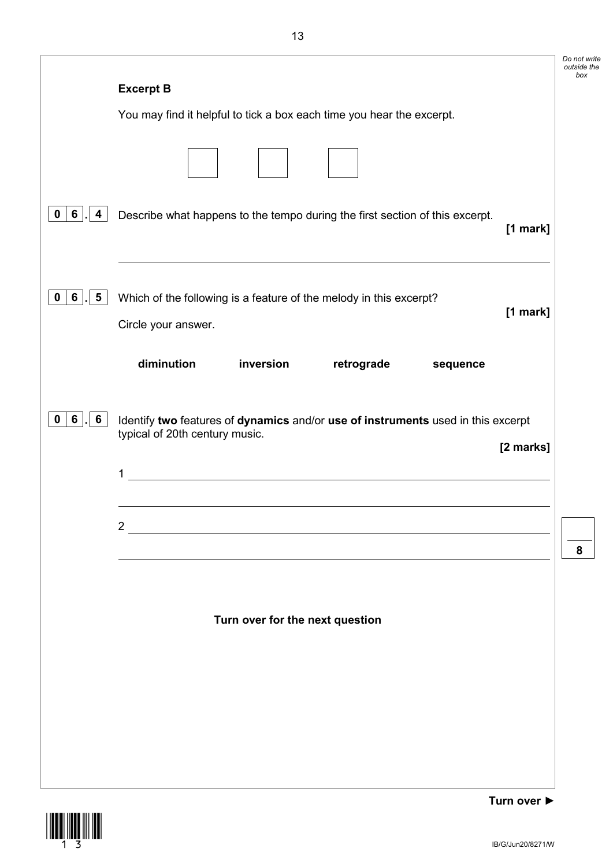|                                        |                                                                                  | Do not write<br>outside the<br>box |
|----------------------------------------|----------------------------------------------------------------------------------|------------------------------------|
|                                        | <b>Excerpt B</b>                                                                 |                                    |
|                                        | You may find it helpful to tick a box each time you hear the excerpt.            |                                    |
|                                        |                                                                                  |                                    |
|                                        |                                                                                  |                                    |
| 6<br>0<br>4                            | Describe what happens to the tempo during the first section of this excerpt.     |                                    |
|                                        | $[1$ mark]                                                                       |                                    |
|                                        |                                                                                  |                                    |
| 6 <sup>1</sup><br>$5\phantom{.0}$<br>0 | Which of the following is a feature of the melody in this excerpt?               |                                    |
|                                        | [1 mark]<br>Circle your answer.                                                  |                                    |
|                                        |                                                                                  |                                    |
|                                        | diminution<br>inversion<br>retrograde<br>sequence                                |                                    |
|                                        |                                                                                  |                                    |
| $6$ .<br>6<br>0                        | Identify two features of dynamics and/or use of instruments used in this excerpt |                                    |
|                                        | typical of 20th century music.<br>[2 marks]                                      |                                    |
|                                        | <u>and the state of the state of the state</u><br>1                              |                                    |
|                                        |                                                                                  |                                    |
|                                        | $2^{\circ}$<br><u> 1980 - Jan Samuel Barbara, martin a</u>                       |                                    |
|                                        |                                                                                  | 8                                  |
|                                        |                                                                                  |                                    |
|                                        |                                                                                  |                                    |
|                                        | Turn over for the next question                                                  |                                    |
|                                        |                                                                                  |                                    |
|                                        |                                                                                  |                                    |
|                                        |                                                                                  |                                    |
|                                        |                                                                                  |                                    |
|                                        |                                                                                  |                                    |
|                                        |                                                                                  |                                    |

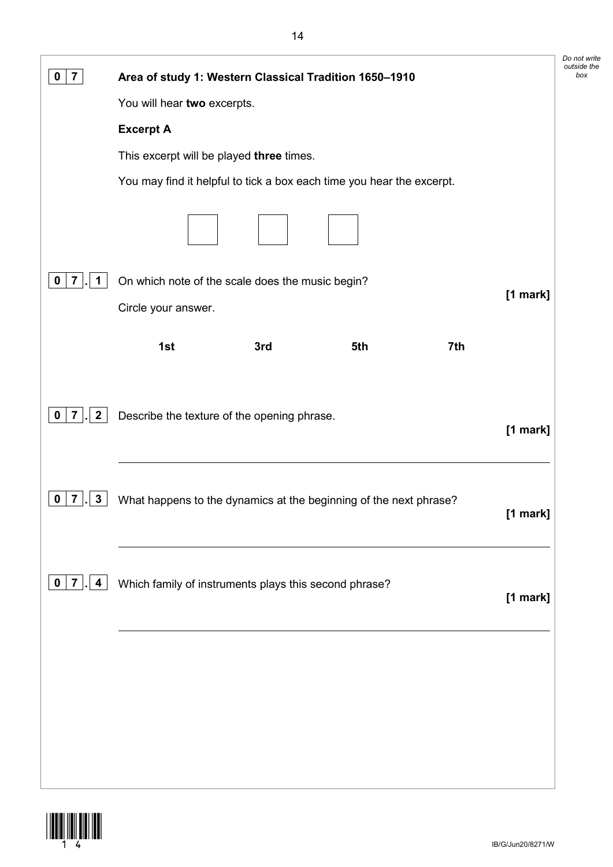| $\overline{7}$<br>0                           | Area of study 1: Western Classical Tradition 1650-1910                        | Do not write<br>outside the<br>box |
|-----------------------------------------------|-------------------------------------------------------------------------------|------------------------------------|
|                                               | You will hear two excerpts.                                                   |                                    |
|                                               | <b>Excerpt A</b>                                                              |                                    |
|                                               | This excerpt will be played three times.                                      |                                    |
|                                               | You may find it helpful to tick a box each time you hear the excerpt.         |                                    |
|                                               |                                                                               |                                    |
| 1<br>0                                        | On which note of the scale does the music begin?                              |                                    |
|                                               | [1 mark]<br>Circle your answer.                                               |                                    |
|                                               | 1st<br>5th<br>7th<br>3rd                                                      |                                    |
| $\mathbf{2}$<br>$\overline{7}$<br>$\mathbf 0$ | Describe the texture of the opening phrase.<br>[1 mark]                       |                                    |
| $\mathbf{3}$<br>0<br>7                        | What happens to the dynamics at the beginning of the next phrase?<br>[1 mark] |                                    |
| $\mathbf 0$<br>7<br>4                         | Which family of instruments plays this second phrase?<br>[1 mark]             |                                    |
|                                               |                                                                               |                                    |
|                                               |                                                                               |                                    |
|                                               |                                                                               |                                    |
|                                               |                                                                               |                                    |
|                                               |                                                                               |                                    |

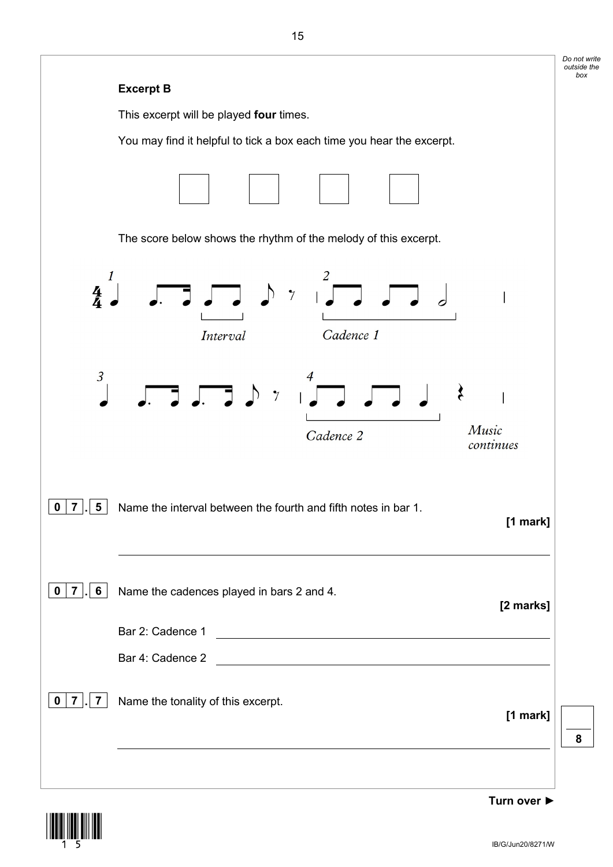|                                                                                                                      | Do not write<br>outside the<br>box |
|----------------------------------------------------------------------------------------------------------------------|------------------------------------|
| <b>Excerpt B</b>                                                                                                     |                                    |
| This excerpt will be played four times.                                                                              |                                    |
| You may find it helpful to tick a box each time you hear the excerpt.                                                |                                    |
|                                                                                                                      |                                    |
| The score below shows the rhythm of the melody of this excerpt.                                                      |                                    |
| 1<br>$\Box$<br>$rac{4}{4}$<br>$\overline{7}$<br>Cadence 1<br>Interval                                                |                                    |
| $\overline{3}$<br>$\sqrt{2}$<br>Music<br>Cadence 2<br>continues                                                      |                                    |
| $\boxed{0}$   $\boxed{7}$   $\boxed{5}$   Name the interval between the fourth and fifth notes in bar 1.<br>[1 mark] |                                    |
| $0 \mid 7$<br>6<br>Name the cadences played in bars 2 and 4.<br>[2 marks]                                            |                                    |
| Bar 2: Cadence 1                                                                                                     |                                    |
| Bar 4: Cadence 2                                                                                                     |                                    |
| Name the tonality of this excerpt.<br>$\mathbf 0$<br>7<br>7<br>[1 mark]                                              | 8                                  |
| Turn over ▶                                                                                                          |                                    |



IB/G/Jun20/8271/W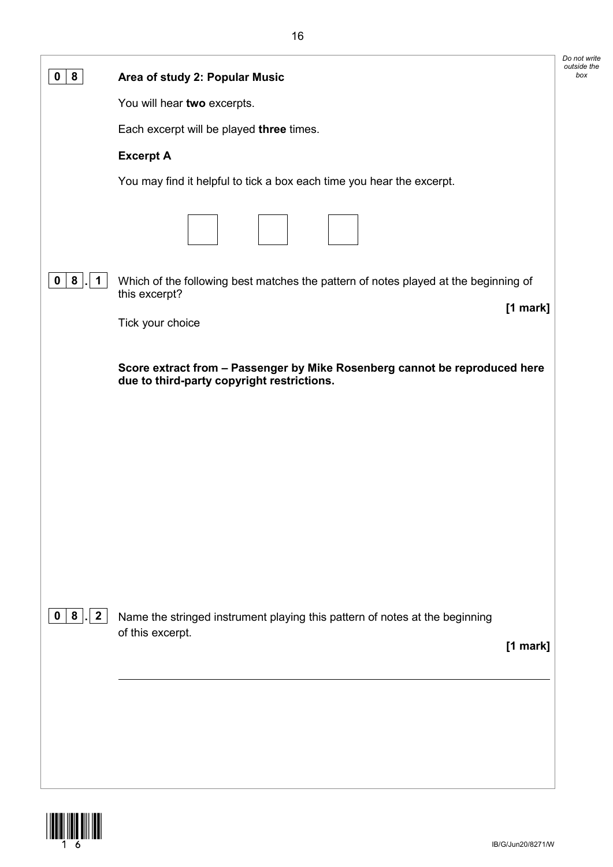| 8                         | Area of study 2: Popular Music                                                                                           | Do not write<br>outside the<br>box |
|---------------------------|--------------------------------------------------------------------------------------------------------------------------|------------------------------------|
|                           | You will hear two excerpts.                                                                                              |                                    |
|                           | Each excerpt will be played three times.                                                                                 |                                    |
|                           | <b>Excerpt A</b>                                                                                                         |                                    |
|                           | You may find it helpful to tick a box each time you hear the excerpt.                                                    |                                    |
|                           |                                                                                                                          |                                    |
| 8<br>0<br>1.              | Which of the following best matches the pattern of notes played at the beginning of                                      |                                    |
|                           | this excerpt?<br>$[1$ mark]                                                                                              |                                    |
|                           | Tick your choice                                                                                                         |                                    |
|                           | Score extract from - Passenger by Mike Rosenberg cannot be reproduced here<br>due to third-party copyright restrictions. |                                    |
|                           |                                                                                                                          |                                    |
|                           |                                                                                                                          |                                    |
|                           |                                                                                                                          |                                    |
|                           |                                                                                                                          |                                    |
|                           |                                                                                                                          |                                    |
|                           |                                                                                                                          |                                    |
|                           |                                                                                                                          |                                    |
|                           |                                                                                                                          |                                    |
| $ 8 $ . 2<br>$\mathbf{0}$ | Name the stringed instrument playing this pattern of notes at the beginning<br>of this excerpt.                          |                                    |
|                           | [1 mark]                                                                                                                 |                                    |
|                           |                                                                                                                          |                                    |
|                           |                                                                                                                          |                                    |
|                           |                                                                                                                          |                                    |
|                           |                                                                                                                          |                                    |
|                           |                                                                                                                          |                                    |

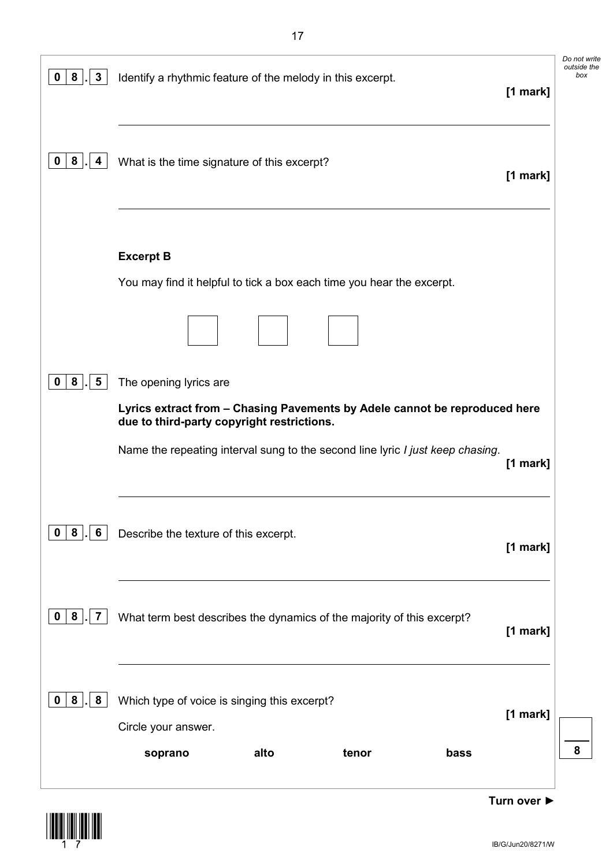| 8<br>$\mathbf{3}$<br>$\mathbf 0$    | Identify a rhythmic feature of the melody in this excerpt.                                                               |       |      | [1 mark]   | Do not write<br>outside the<br>box |
|-------------------------------------|--------------------------------------------------------------------------------------------------------------------------|-------|------|------------|------------------------------------|
| 8<br>4                              | What is the time signature of this excerpt?                                                                              |       |      | $[1$ mark] |                                    |
|                                     | <b>Excerpt B</b>                                                                                                         |       |      |            |                                    |
|                                     | You may find it helpful to tick a box each time you hear the excerpt.                                                    |       |      |            |                                    |
|                                     |                                                                                                                          |       |      |            |                                    |
| 8<br>5<br>0                         | The opening lyrics are                                                                                                   |       |      |            |                                    |
|                                     | Lyrics extract from - Chasing Pavements by Adele cannot be reproduced here<br>due to third-party copyright restrictions. |       |      |            |                                    |
|                                     | Name the repeating interval sung to the second line lyric I just keep chasing.                                           |       |      | $[1$ mark] |                                    |
| 8<br>6<br>$\mathbf 0$               | Describe the texture of this excerpt.                                                                                    |       |      | [1 mark]   |                                    |
| 8<br>$\overline{7}$<br>$\mathbf{0}$ | What term best describes the dynamics of the majority of this excerpt?                                                   |       |      | [1 mark]   |                                    |
| 8<br>8<br>$\mathbf 0$               | Which type of voice is singing this excerpt?                                                                             |       |      |            |                                    |
|                                     | Circle your answer.                                                                                                      |       |      | [1 mark]   |                                    |
|                                     | alto<br>soprano                                                                                                          | tenor | bass |            | 8                                  |
|                                     |                                                                                                                          |       |      |            |                                    |

**Turn over ►**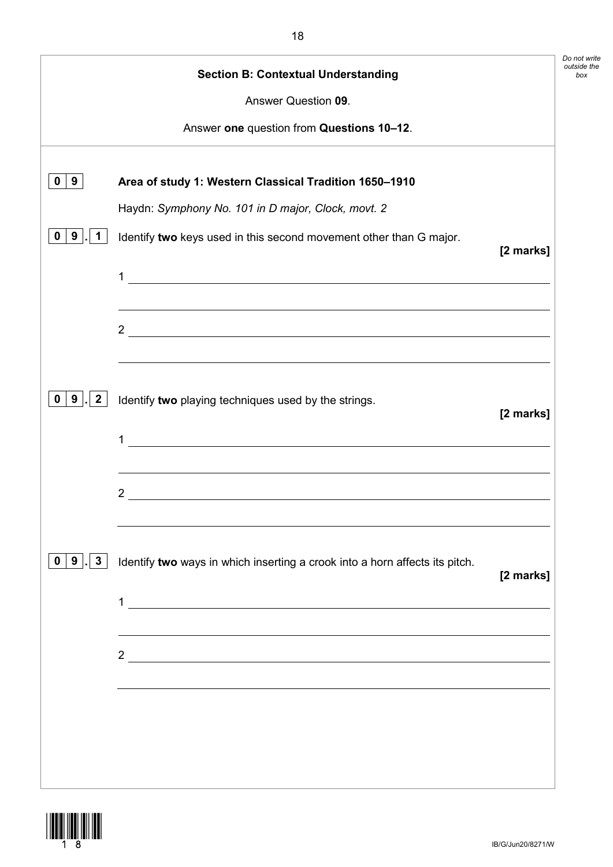|                                     | <b>Section B: Contextual Understanding</b>                                                                                               |           |
|-------------------------------------|------------------------------------------------------------------------------------------------------------------------------------------|-----------|
|                                     | Answer Question 09.                                                                                                                      |           |
|                                     | Answer one question from Questions 10-12.                                                                                                |           |
| 9<br>0                              | Area of study 1: Western Classical Tradition 1650-1910                                                                                   |           |
|                                     | Haydn: Symphony No. 101 in D major, Clock, movt. 2                                                                                       |           |
| 9<br>$\mathbf 1$<br>0               | Identify two keys used in this second movement other than G major.                                                                       | [2 marks] |
|                                     | 1<br><u> 1989 - Johann Stoff, deutscher Stoffen und der Stoffen und der Stoffen und der Stoffen und der Stoffen und de</u>               |           |
|                                     | $2 \overline{ }$                                                                                                                         |           |
| 9 . 2<br>0                          | ,我们也不会有什么。""我们的人,我们也不会有什么?""我们的人,我们也不会有什么?""我们的人,我们也不会有什么?""我们的人,我们也不会有什么?""我们的人<br>Identify two playing techniques used by the strings. | [2 marks] |
|                                     | <u> 1980 - Johann Stoff, deutscher Stoff, der Stoff, deutscher Stoff, der Stoff, der Stoff, der Stoff, der Stoff</u><br>1                |           |
|                                     | $\frac{2}{\sqrt{2}}$                                                                                                                     |           |
|                                     |                                                                                                                                          |           |
| $3\overline{3}$<br>9<br>$\mathbf 0$ | Identify two ways in which inserting a crook into a horn affects its pitch.                                                              | [2 marks] |
|                                     | 1                                                                                                                                        |           |
|                                     |                                                                                                                                          |           |
|                                     |                                                                                                                                          |           |
|                                     |                                                                                                                                          |           |
|                                     |                                                                                                                                          |           |
|                                     |                                                                                                                                          |           |

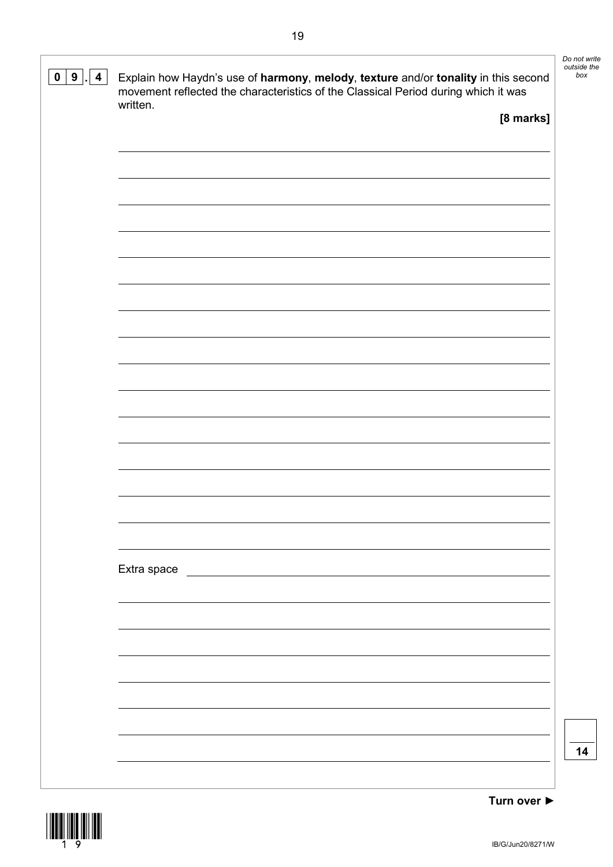| $0 \mid 9 \mid$<br>$\overline{\mathbf{4}}$ | Explain how Haydn's use of harmony, melody, texture and/or tonality in this second<br>movement reflected the characteristics of the Classical Period during which it was | Do not write<br>outside the<br>box |
|--------------------------------------------|--------------------------------------------------------------------------------------------------------------------------------------------------------------------------|------------------------------------|
|                                            | written.<br>[8 marks]                                                                                                                                                    |                                    |
|                                            |                                                                                                                                                                          |                                    |
|                                            |                                                                                                                                                                          |                                    |
|                                            |                                                                                                                                                                          |                                    |
|                                            |                                                                                                                                                                          |                                    |
|                                            |                                                                                                                                                                          |                                    |
|                                            |                                                                                                                                                                          |                                    |
|                                            |                                                                                                                                                                          |                                    |
|                                            |                                                                                                                                                                          |                                    |
|                                            |                                                                                                                                                                          |                                    |
|                                            |                                                                                                                                                                          |                                    |
|                                            |                                                                                                                                                                          |                                    |
|                                            | Extra space                                                                                                                                                              |                                    |
|                                            |                                                                                                                                                                          |                                    |
|                                            |                                                                                                                                                                          |                                    |
|                                            |                                                                                                                                                                          |                                    |
|                                            |                                                                                                                                                                          |                                    |
|                                            |                                                                                                                                                                          | 14                                 |
|                                            |                                                                                                                                                                          |                                    |

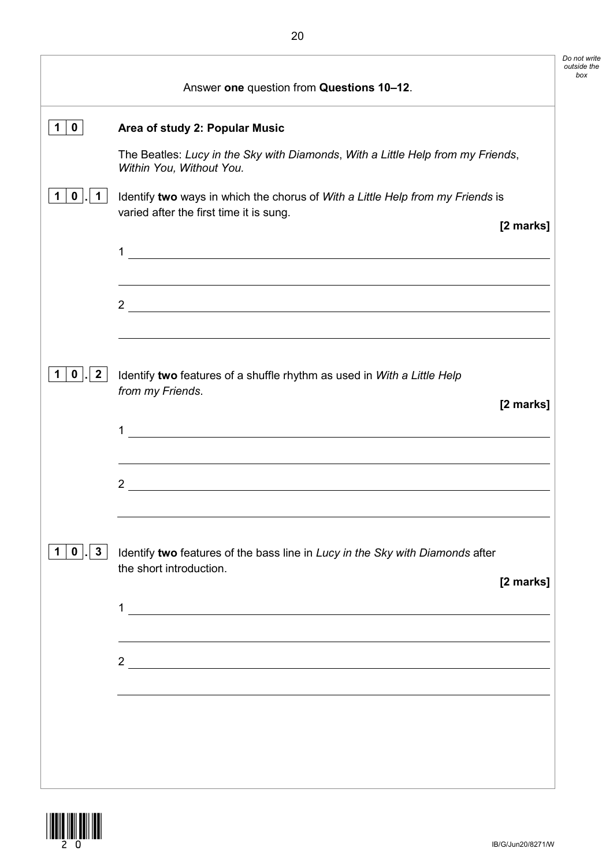|                                                  |                                                                                                                                                                                                                                                                                                                                                                                                                                                                    | Do not write<br>outside the<br>box |
|--------------------------------------------------|--------------------------------------------------------------------------------------------------------------------------------------------------------------------------------------------------------------------------------------------------------------------------------------------------------------------------------------------------------------------------------------------------------------------------------------------------------------------|------------------------------------|
| $\mathbf{0}$<br>1<br>$\mathbf{0}$<br>$\mathbf 1$ | Answer one question from Questions 10-12.<br>Area of study 2: Popular Music<br>The Beatles: Lucy in the Sky with Diamonds, With a Little Help from my Friends,<br>Within You, Without You.<br>Identify two ways in which the chorus of With a Little Help from my Friends is<br>varied after the first time it is sung.<br>[2 marks]<br>1<br><u> 1989 - Johann Stoff, deutscher Stoffen und der Stoffen und der Stoffen und der Stoffen und der Stoffen und de</u> |                                    |
| $\mathbf{0}$  .<br>$\overline{2}$                | $2\overline{\phantom{a}}$<br>Identify two features of a shuffle rhythm as used in With a Little Help<br>from my Friends.<br>[2 marks]<br>1<br><u> 1980 - Johann Barn, mars ann an t-Amhainn an t-Amhainn an t-Amhainn an t-Amhainn an t-Amhainn an t-Amhainn an </u><br><u> 1989 - Johann Stoff, deutscher Stoffen und der Stoffen und der Stoffen und der Stoffen und der Stoffen und der</u>                                                                     |                                    |
| $0$     3                                        | 2 <sup>1</sup><br>Identify two features of the bass line in Lucy in the Sky with Diamonds after<br>the short introduction.<br>[2 marks]<br>1<br><u> 1989 - Johann Stoff, deutscher Stoffen und der Stoffen und der Stoffen und der Stoffen und der Stoffen und de</u>                                                                                                                                                                                              |                                    |
|                                                  | $\frac{2}{\sqrt{2}}$                                                                                                                                                                                                                                                                                                                                                                                                                                               |                                    |

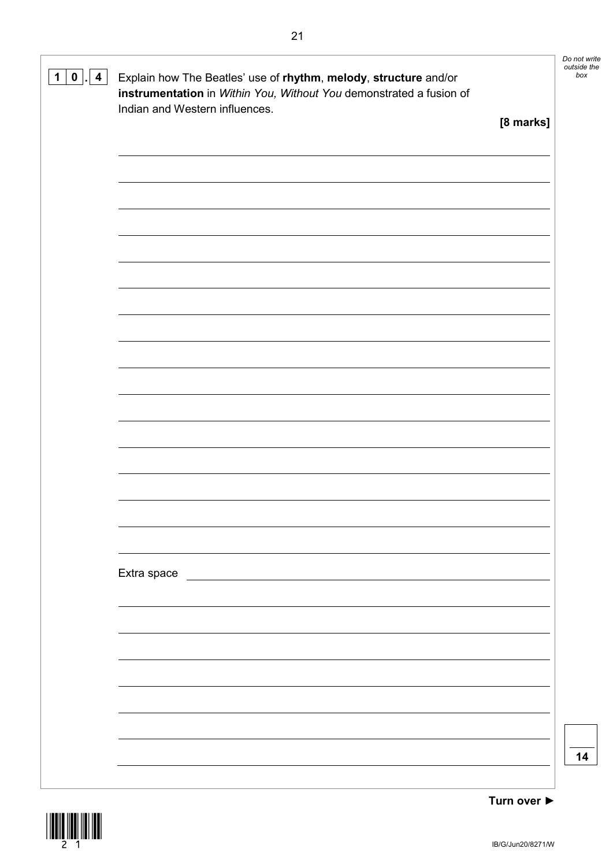| $\mathbf 1$<br>$\mathbf 0$<br>$\overline{4}$ | Explain how The Beatles' use of rhythm, melody, structure and/or<br>instrumentation in Within You, Without You demonstrated a fusion of<br>Indian and Western influences. |           | Do not write<br>outside the<br>box |
|----------------------------------------------|---------------------------------------------------------------------------------------------------------------------------------------------------------------------------|-----------|------------------------------------|
|                                              |                                                                                                                                                                           | [8 marks] |                                    |
|                                              |                                                                                                                                                                           |           |                                    |
|                                              |                                                                                                                                                                           |           |                                    |
|                                              |                                                                                                                                                                           |           |                                    |
|                                              |                                                                                                                                                                           |           |                                    |
|                                              |                                                                                                                                                                           |           |                                    |
|                                              |                                                                                                                                                                           |           |                                    |
|                                              |                                                                                                                                                                           |           |                                    |
|                                              |                                                                                                                                                                           |           |                                    |
|                                              |                                                                                                                                                                           |           |                                    |
|                                              |                                                                                                                                                                           |           |                                    |
|                                              |                                                                                                                                                                           |           |                                    |
|                                              |                                                                                                                                                                           |           |                                    |
|                                              | Extra space                                                                                                                                                               |           |                                    |
|                                              |                                                                                                                                                                           |           |                                    |
|                                              |                                                                                                                                                                           |           |                                    |
|                                              |                                                                                                                                                                           |           |                                    |
|                                              |                                                                                                                                                                           |           |                                    |
|                                              |                                                                                                                                                                           |           | 14                                 |
|                                              |                                                                                                                                                                           |           |                                    |

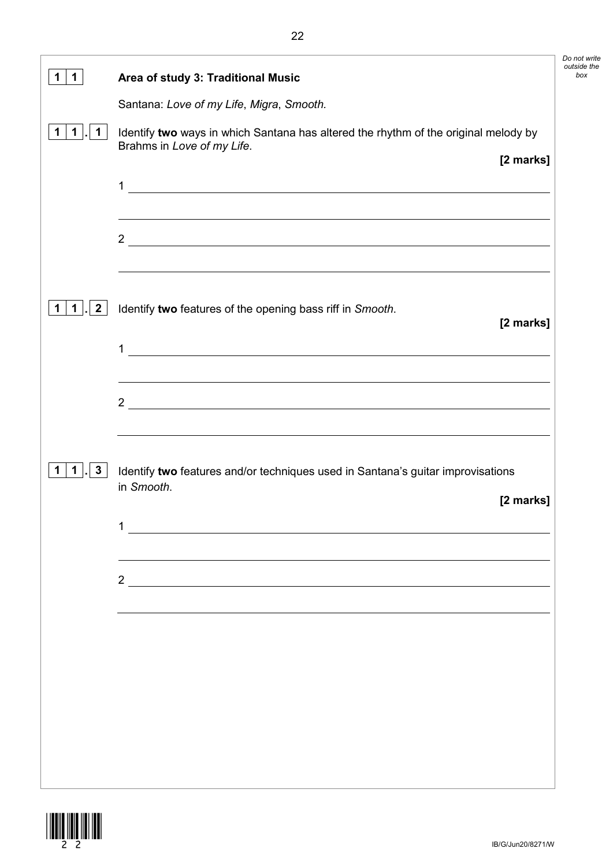| 1.                                   | Area of study 3: Traditional Music                                                                                                                                                                                                                                           |
|--------------------------------------|------------------------------------------------------------------------------------------------------------------------------------------------------------------------------------------------------------------------------------------------------------------------------|
|                                      | Santana: Love of my Life, Migra, Smooth.                                                                                                                                                                                                                                     |
| 1 <sub>1</sub><br>$\mathbf{1}$<br>1. | Identify two ways in which Santana has altered the rhythm of the original melody by<br>Brahms in Love of my Life.<br>[2 marks]                                                                                                                                               |
|                                      | <u> 1989 - Andrea Station Barbara, actor a component de la componentación de la componentación de la componentaci</u><br>1                                                                                                                                                   |
|                                      | $\frac{2}{\sqrt{2}}$                                                                                                                                                                                                                                                         |
| $1$ .<br>$\overline{2}$              | <u> 1989 - Johann Stoff, amerikansk politiker (d. 1989)</u><br>Identify two features of the opening bass riff in Smooth.<br>[2 marks]<br>$\mathbf{1}$                                                                                                                        |
|                                      | <u> 1988 - Johann Stoff, deutscher Stoffen und der Stoffen und der Stoffen und der Stoffen und der Stoffen und der</u><br><u> 1989 - Johann Stoff, deutscher Stoffen und der Stoffen und der Stoffen und der Stoffen und der Stoffen und de</u><br>$2\overline{\phantom{a}}$ |
| $\mathbf 1$<br>$\mathbf{3}$          | Identify two features and/or techniques used in Santana's guitar improvisations<br>in Smooth.<br>[2 marks]                                                                                                                                                                   |
|                                      | $\frac{2}{\sqrt{2}}$                                                                                                                                                                                                                                                         |
|                                      |                                                                                                                                                                                                                                                                              |
|                                      |                                                                                                                                                                                                                                                                              |
|                                      |                                                                                                                                                                                                                                                                              |
|                                      |                                                                                                                                                                                                                                                                              |



*Do not write outside the*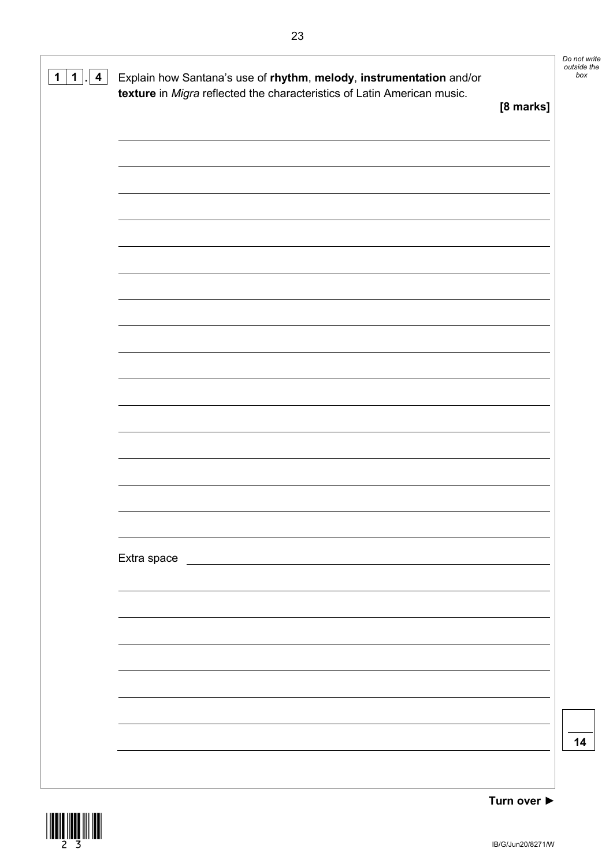| $\overline{\mathbf{4}}$<br>$1 \mid$<br>$\mathbf 1$<br>$\overline{\phantom{a}}$ | Explain how Santana's use of rhythm, melody, instrumentation and/or<br>texture in Migra reflected the characteristics of Latin American music. |           | Do not write<br>outside the<br>box |
|--------------------------------------------------------------------------------|------------------------------------------------------------------------------------------------------------------------------------------------|-----------|------------------------------------|
|                                                                                |                                                                                                                                                | [8 marks] |                                    |
|                                                                                |                                                                                                                                                |           |                                    |
|                                                                                |                                                                                                                                                |           |                                    |
|                                                                                |                                                                                                                                                |           |                                    |
|                                                                                |                                                                                                                                                |           |                                    |
|                                                                                |                                                                                                                                                |           |                                    |
|                                                                                |                                                                                                                                                |           |                                    |
|                                                                                |                                                                                                                                                |           |                                    |
|                                                                                |                                                                                                                                                |           |                                    |
|                                                                                |                                                                                                                                                |           |                                    |
|                                                                                |                                                                                                                                                |           |                                    |
|                                                                                |                                                                                                                                                |           |                                    |
|                                                                                |                                                                                                                                                |           |                                    |
|                                                                                |                                                                                                                                                |           |                                    |
|                                                                                |                                                                                                                                                |           |                                    |
|                                                                                |                                                                                                                                                |           |                                    |
|                                                                                |                                                                                                                                                |           |                                    |
|                                                                                | Extra space                                                                                                                                    |           |                                    |
|                                                                                |                                                                                                                                                |           |                                    |
|                                                                                |                                                                                                                                                |           |                                    |
|                                                                                |                                                                                                                                                |           |                                    |
|                                                                                |                                                                                                                                                |           |                                    |
|                                                                                |                                                                                                                                                |           |                                    |
|                                                                                |                                                                                                                                                |           |                                    |
|                                                                                |                                                                                                                                                |           |                                    |
|                                                                                |                                                                                                                                                |           | 14                                 |
|                                                                                |                                                                                                                                                |           |                                    |

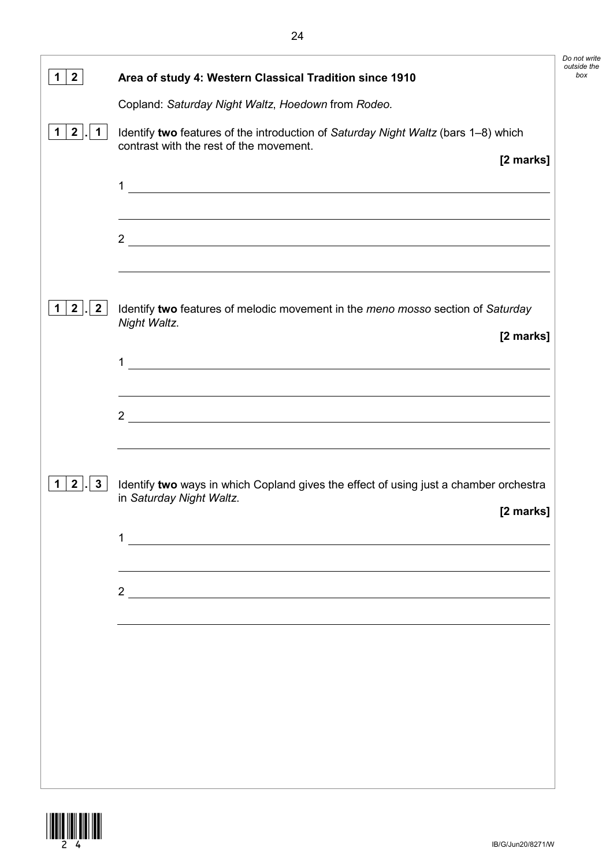| $\mathbf{2}$                              | Area of study 4: Western Classical Tradition since 1910                                                                                                                                               |
|-------------------------------------------|-------------------------------------------------------------------------------------------------------------------------------------------------------------------------------------------------------|
|                                           | Copland: Saturday Night Waltz, Hoedown from Rodeo.                                                                                                                                                    |
| $2^{\circ}$<br>$\mathbf 1$<br>$\mathbf 1$ | Identify two features of the introduction of Saturday Night Waltz (bars 1-8) which<br>contrast with the rest of the movement.                                                                         |
|                                           | [2 marks]<br>1<br><u> 1989 - Johann Stein, fransk politik (d. 1989)</u>                                                                                                                               |
|                                           | $2 \overline{ }$                                                                                                                                                                                      |
| $2^{\prime}$<br>$\mathbf{2}$              | Identify two features of melodic movement in the meno mosso section of Saturday<br>Night Waltz.                                                                                                       |
|                                           | [2 marks]                                                                                                                                                                                             |
|                                           | 1                                                                                                                                                                                                     |
|                                           | 2 $\overline{\phantom{a}}$                                                                                                                                                                            |
| $2^{\circ}$<br>$\mathbf{3}$<br>1          | ,我们也不会有什么。""我们的人,我们也不会有什么?""我们的人,我们也不会有什么?""我们的人,我们也不会有什么?""我们的人,我们也不会有什么?""我们的人<br>Identify two ways in which Copland gives the effect of using just a chamber orchestra<br>in Saturday Night Waltz. |
|                                           | [2 marks]                                                                                                                                                                                             |
|                                           | 1                                                                                                                                                                                                     |
|                                           |                                                                                                                                                                                                       |
|                                           |                                                                                                                                                                                                       |
|                                           |                                                                                                                                                                                                       |
|                                           |                                                                                                                                                                                                       |
|                                           |                                                                                                                                                                                                       |
|                                           |                                                                                                                                                                                                       |
|                                           |                                                                                                                                                                                                       |



*Do not write outside the*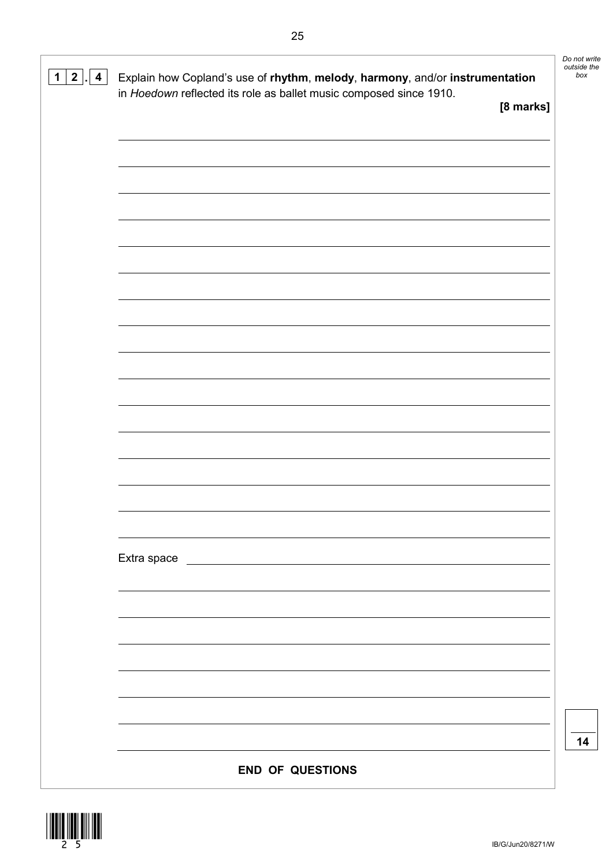| 2 <br>$\mathbf 1$<br>$\overline{4}$ | Explain how Copland's use of rhythm, melody, harmony, and/or instrumentation<br>in Hoedown reflected its role as ballet music composed since 1910. | Do not write<br>outside the<br>box |
|-------------------------------------|----------------------------------------------------------------------------------------------------------------------------------------------------|------------------------------------|
|                                     | [8 marks]                                                                                                                                          |                                    |
|                                     |                                                                                                                                                    |                                    |
|                                     |                                                                                                                                                    |                                    |
|                                     |                                                                                                                                                    |                                    |
|                                     |                                                                                                                                                    |                                    |
|                                     |                                                                                                                                                    |                                    |
|                                     |                                                                                                                                                    |                                    |
|                                     |                                                                                                                                                    |                                    |
|                                     |                                                                                                                                                    |                                    |
|                                     |                                                                                                                                                    |                                    |
|                                     |                                                                                                                                                    |                                    |
|                                     |                                                                                                                                                    |                                    |
|                                     |                                                                                                                                                    |                                    |
|                                     |                                                                                                                                                    |                                    |
|                                     |                                                                                                                                                    |                                    |
|                                     |                                                                                                                                                    |                                    |
|                                     |                                                                                                                                                    |                                    |
|                                     | Extra space                                                                                                                                        |                                    |
|                                     |                                                                                                                                                    |                                    |
|                                     |                                                                                                                                                    |                                    |
|                                     |                                                                                                                                                    |                                    |
|                                     |                                                                                                                                                    |                                    |
|                                     |                                                                                                                                                    |                                    |
|                                     |                                                                                                                                                    |                                    |
|                                     |                                                                                                                                                    | 14                                 |
|                                     | <b>END OF QUESTIONS</b>                                                                                                                            |                                    |

\*25\*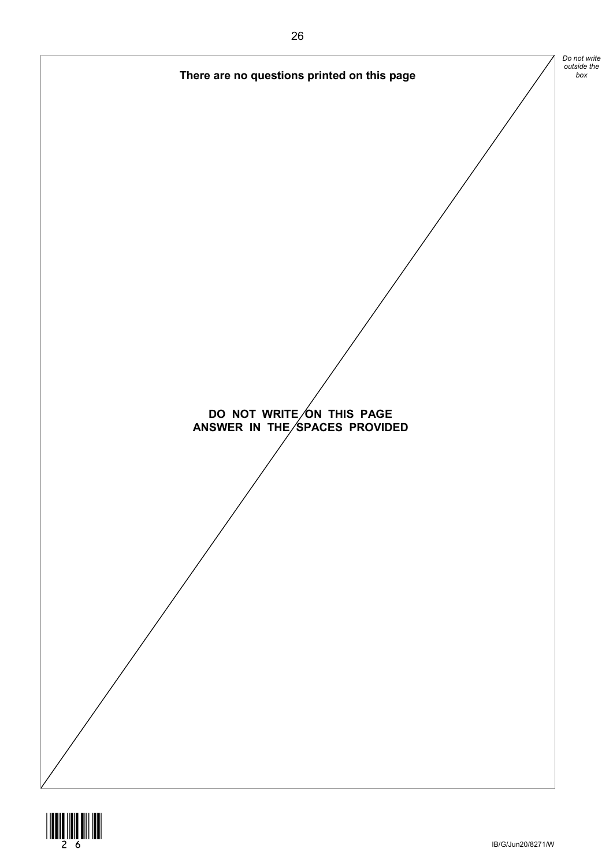

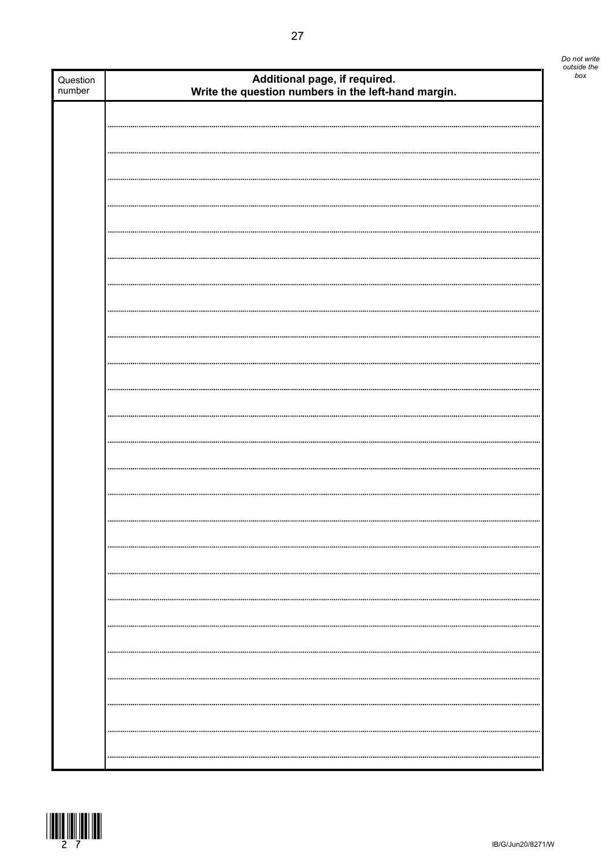| Question<br>number | Additional page, if required.<br>Write the question numbers in the left-hand margin. |  |
|--------------------|--------------------------------------------------------------------------------------|--|
|                    |                                                                                      |  |
|                    |                                                                                      |  |
|                    |                                                                                      |  |
|                    |                                                                                      |  |
|                    |                                                                                      |  |
|                    |                                                                                      |  |
|                    |                                                                                      |  |
|                    |                                                                                      |  |
|                    |                                                                                      |  |
|                    |                                                                                      |  |
|                    |                                                                                      |  |
|                    |                                                                                      |  |
|                    |                                                                                      |  |
|                    |                                                                                      |  |
|                    |                                                                                      |  |
|                    |                                                                                      |  |
|                    |                                                                                      |  |
|                    |                                                                                      |  |
|                    |                                                                                      |  |
|                    |                                                                                      |  |
|                    |                                                                                      |  |
|                    |                                                                                      |  |
|                    |                                                                                      |  |
|                    |                                                                                      |  |
|                    |                                                                                      |  |
|                    |                                                                                      |  |
|                    |                                                                                      |  |
|                    |                                                                                      |  |
|                    |                                                                                      |  |
|                    |                                                                                      |  |
|                    |                                                                                      |  |
|                    |                                                                                      |  |
|                    |                                                                                      |  |
|                    |                                                                                      |  |
|                    |                                                                                      |  |